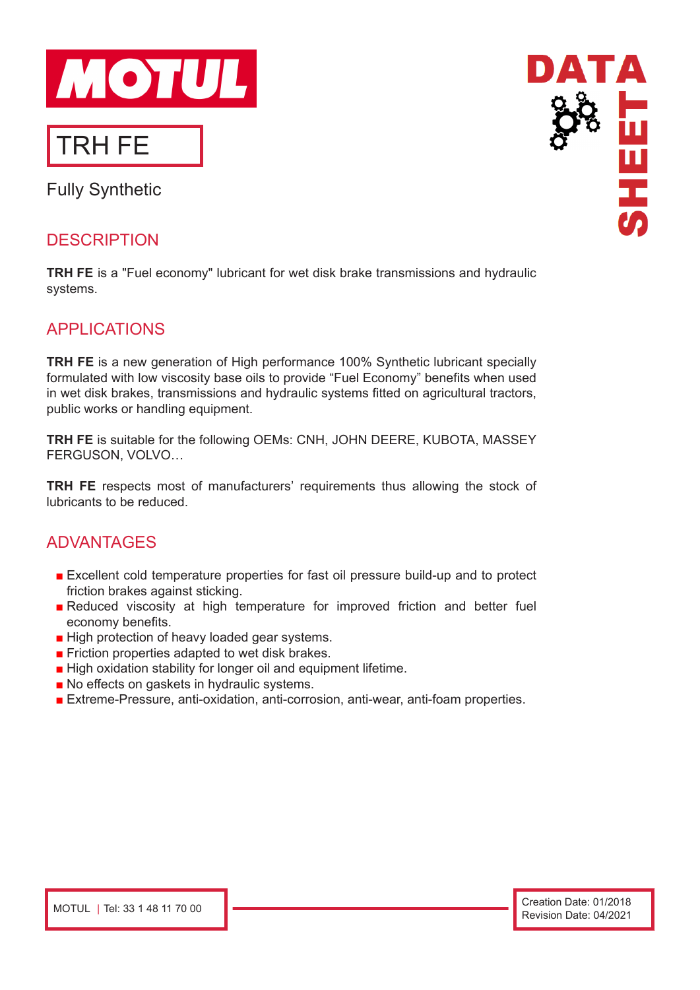

# Fully Synthetic

### **DESCRIPTION**

**TRH FE** is a "Fuel economy" lubricant for wet disk brake transmissions and hydraulic systems.

### APPLICATIONS

**TRH FE** is a new generation of High performance 100% Synthetic lubricant specially formulated with low viscosity base oils to provide "Fuel Economy" benefits when used in wet disk brakes, transmissions and hydraulic systems fitted on agricultural tractors, public works or handling equipment.

**TRH FE** is suitable for the following OEMs: CNH, JOHN DEERE, KUBOTA, MASSEY FERGUSON, VOLVO…

**TRH FE** respects most of manufacturers' requirements thus allowing the stock of lubricants to be reduced.

### ADVANTAGES

- Excellent cold temperature properties for fast oil pressure build-up and to protect friction brakes against sticking.
- Reduced viscosity at high temperature for improved friction and better fuel economy benefits.
- High protection of heavy loaded gear systems.
- Friction properties adapted to wet disk brakes.
- High oxidation stability for longer oil and equipment lifetime.
- No effects on gaskets in hydraulic systems.
- Extreme-Pressure, anti-oxidation, anti-corrosion, anti-wear, anti-foam properties.

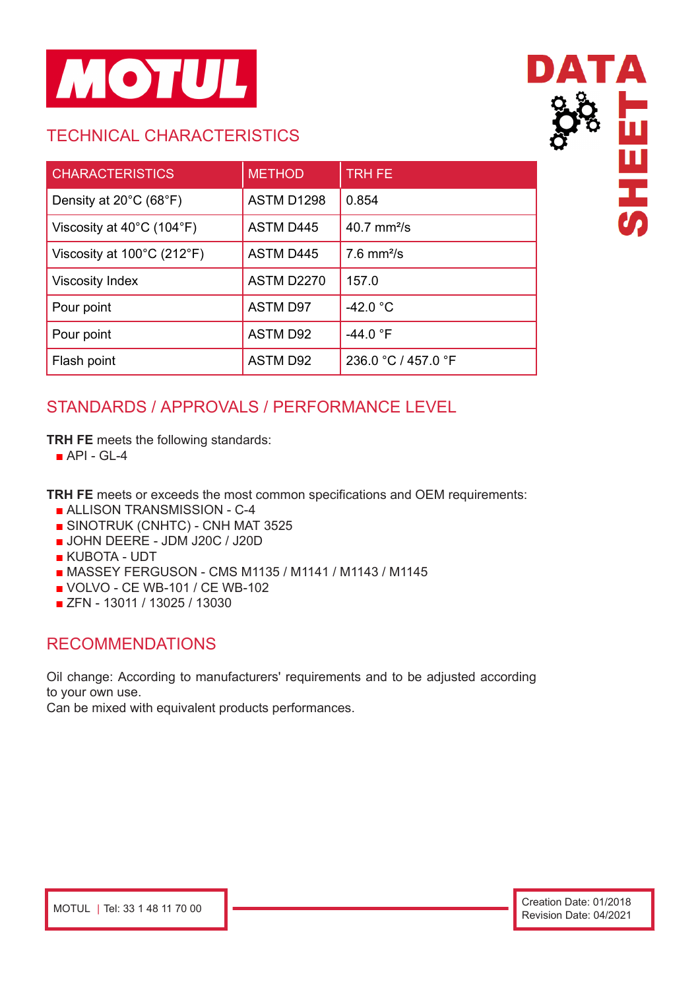

## TECHNICAL CHARACTERISTICS

| <b>CHARACTERISTICS</b>                         | <b>METHOD</b>     | <b>TRH FE</b>            |
|------------------------------------------------|-------------------|--------------------------|
| Density at $20^{\circ}$ C (68 $^{\circ}$ F)    | <b>ASTM D1298</b> | 0.854                    |
| Viscosity at $40^{\circ}$ C (104 $^{\circ}$ F) | <b>ASTM D445</b>  | 40.7 $mm^2/s$            |
| Viscosity at 100°C (212°F)                     | <b>ASTM D445</b>  | $7.6$ mm <sup>2</sup> /s |
| <b>Viscosity Index</b>                         | <b>ASTM D2270</b> | 157.0                    |
| Pour point                                     | <b>ASTM D97</b>   | $-42.0 °C$               |
| Pour point                                     | <b>ASTM D92</b>   | $-44.0 °F$               |
| Flash point                                    | <b>ASTM D92</b>   | 236.0 °C / 457.0 °F      |

## STANDARDS / APPROVALS / PERFORMANCE LEVEL

**TRH FE** meets the following standards:

 $\blacksquare$  API - GL-4

**TRH FE** meets or exceeds the most common specifications and OEM requirements:

- ALLISON TRANSMISSION C-4
- SINOTRUK (CNHTC) CNH MAT 3525
- JOHN DEERE JDM J20C / J20D
- KUBOTA UDT
- MASSEY FERGUSON CMS M1135 / M1141 / M1143 / M1145
- VOLVO CE WB-101 / CE WB-102
- ZFN 13011 / 13025 / 13030

### RECOMMENDATIONS

Oil change: According to manufacturers' requirements and to be adjusted according to your own use.

Can be mixed with equivalent products performances.